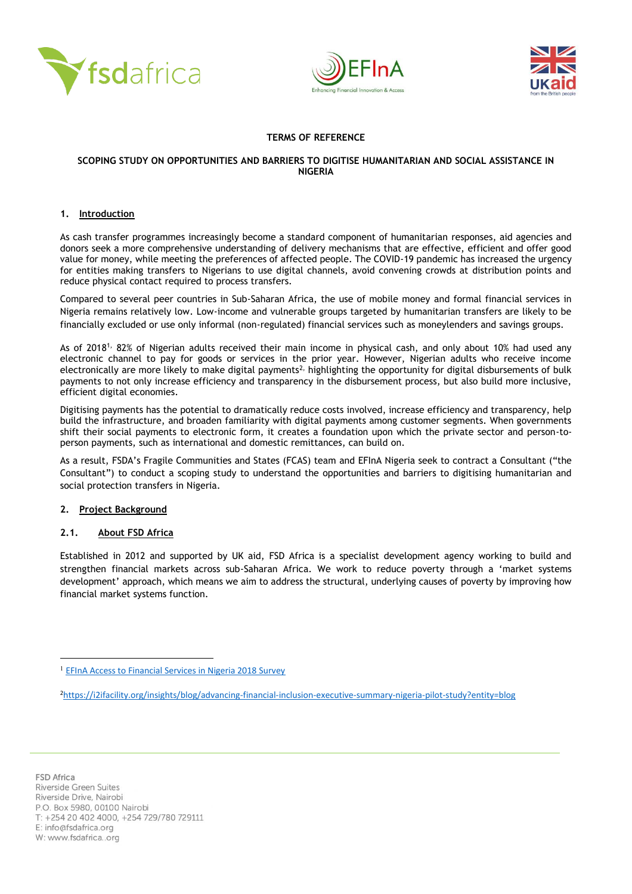





# **TERMS OF REFERENCE**

#### **SCOPING STUDY ON OPPORTUNITIES AND BARRIERS TO DIGITISE HUMANITARIAN AND SOCIAL ASSISTANCE IN NIGERIA**

#### **1. Introduction**

As cash transfer programmes increasingly become a standard component of humanitarian responses, aid agencies and donors seek a more comprehensive understanding of delivery mechanisms that are effective, efficient and offer good value for money, while meeting the preferences of affected people. The COVID-19 pandemic has increased the urgency for entities making transfers to Nigerians to use digital channels, avoid convening crowds at distribution points and reduce physical contact required to process transfers.

Compared to several peer countries in Sub-Saharan Africa, the use of mobile money and formal financial services in Nigeria remains relatively low. Low-income and vulnerable groups targeted by humanitarian transfers are likely to be financially excluded or use only informal (non-regulated) financial services such as moneylenders and savings groups.

As of 2018<sup>1,</sup> 82% of Nigerian adults received their main income in physical cash, and only about 10% had used any electronic channel to pay for goods or services in the prior year. However, Nigerian adults who receive income electronically are more likely to make digital payments<sup>2,</sup> highlighting the opportunity for digital disbursements of bulk payments to not only increase efficiency and transparency in the disbursement process, but also build more inclusive, efficient digital economies.

Digitising payments has the potential to dramatically reduce costs involved, increase efficiency and transparency, help build the infrastructure, and broaden familiarity with digital payments among customer segments. When governments shift their social payments to electronic form, it creates a foundation upon which the private sector and person-toperson payments, such as international and domestic remittances, can build on.

As a result, FSDA's Fragile Communities and States (FCAS) team and EFInA Nigeria seek to contract a Consultant ("the Consultant") to conduct a scoping study to understand the opportunities and barriers to digitising humanitarian and social protection transfers in Nigeria.

# **2. Project Background**

# **2.1. About FSD Africa**

Established in 2012 and supported by UK aid, FSD Africa is a specialist development agency working to build and strengthen financial markets across sub-Saharan Africa. We work to reduce poverty through a 'market systems development' approach, which means we aim to address the structural, underlying causes of poverty by improving how financial market systems function.

[EFInA Access to Financial Services in Nigeria 2018 Survey](https://www.efina.org.ng/wp-content/uploads/2019/01/A2F-2018-Key-Findings-11_01_19.pdf)

<sup>2</sup><https://i2ifacility.org/insights/blog/advancing-financial-inclusion-executive-summary-nigeria-pilot-study?entity=blog>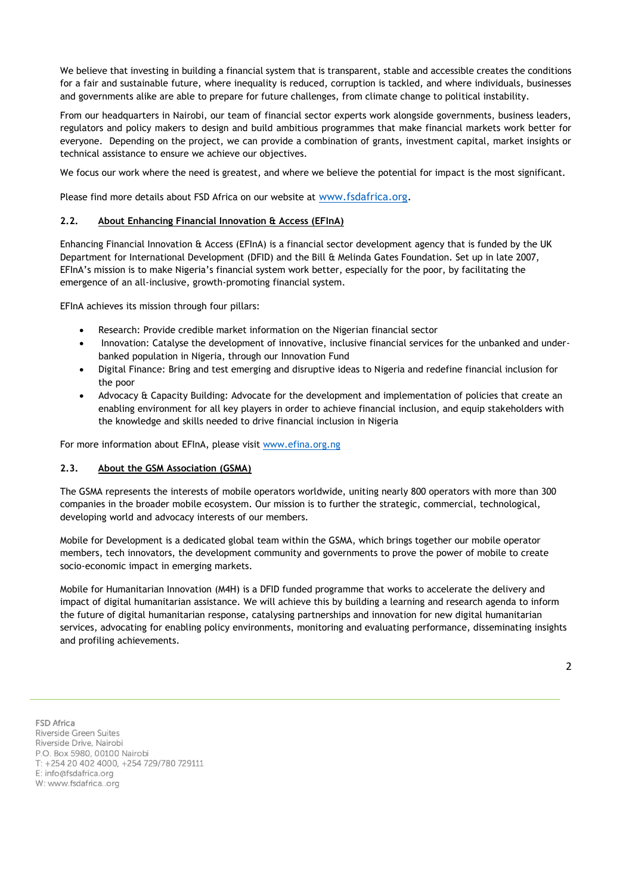We believe that investing in building a financial system that is transparent, stable and accessible creates the conditions for a fair and sustainable future, where inequality is reduced, corruption is tackled, and where individuals, businesses and governments alike are able to prepare for future challenges, from climate change to political instability.

From our headquarters in Nairobi, our team of financial sector experts work alongside governments, business leaders, regulators and policy makers to design and build ambitious programmes that make financial markets work better for everyone. Depending on the project, we can provide a combination of grants, investment capital, market insights or technical assistance to ensure we achieve our objectives.

We focus our work where the need is greatest, and where we believe the potential for impact is the most significant.

Please find more details about FSD Africa on our website at [www.fsdafrica.org.](http://www.fsdafrica.org/)

# **2.2. About Enhancing Financial Innovation & Access (EFInA)**

Enhancing Financial Innovation & Access (EFInA) is a financial sector development agency that is funded by the UK Department for International Development (DFID) and the Bill & Melinda Gates Foundation. Set up in late 2007, EFInA's mission is to make Nigeria's financial system work better, especially for the poor, by facilitating the emergence of an all-inclusive, growth-promoting financial system.

EFInA achieves its mission through four pillars:

- Research: Provide credible market information on the Nigerian financial sector
- Innovation: Catalyse the development of innovative, inclusive financial services for the unbanked and underbanked population in Nigeria, through our Innovation Fund
- Digital Finance: Bring and test emerging and disruptive ideas to Nigeria and redefine financial inclusion for the poor
- Advocacy & Capacity Building: Advocate for the development and implementation of policies that create an enabling environment for all key players in order to achieve financial inclusion, and equip stakeholders with the knowledge and skills needed to drive financial inclusion in Nigeria

For more information about EFInA, please visit [www.efina.org.ng](http://www.efina.org.ng/)

#### **2.3. About the GSM Association (GSMA)**

The GSMA represents the interests of mobile operators worldwide, uniting nearly 800 operators with more than 300 companies in the broader mobile ecosystem. Our mission is to further the strategic, commercial, technological, developing world and advocacy interests of our members.

Mobile for Development is a dedicated global team within the GSMA, which brings together our mobile operator members, tech innovators, the development community and governments to prove the power of mobile to create socio-economic impact in emerging markets.

[Mobile for Humanitarian Innovation](https://eur02.safelinks.protection.outlook.com/?url=https%3A%2F%2Fwww.gsma.com%2Fmobilefordevelopment%2Fmobile-for-humanitarian-innovation%2Finnovation-fund%2F&data=02%7C01%7C%7Ca3ea81d060c34878677b08d816b6650c%7Cb560cc06c5af4a89b952cf700a043799%7C0%7C0%7C637284319962648163&sdata=rQ6x%2B29KFEblN5k3HrihHMDqt9HEgxF8%2FZoMLnjYD88%3D&reserved=0) (M4H) is a DFID funded programme that works to accelerate the delivery and impact of digital humanitarian assistance. We will achieve this by building a learning and research agenda to inform the future of digital humanitarian response, catalysing partnerships and innovation for new digital humanitarian services, advocating for enabling policy environments, monitoring and evaluating performance, disseminating insights and profiling achievements.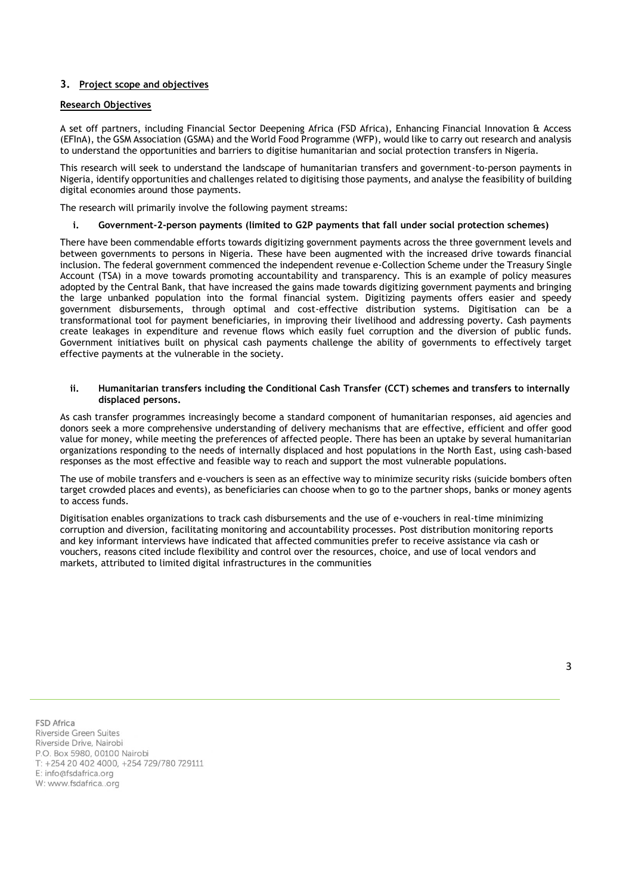# **3. Project scope and objectives**

#### **Research Objectives**

A set off partners, including Financial Sector Deepening Africa (FSD Africa), Enhancing Financial Innovation & Access (EFInA), the GSM Association (GSMA) and the World Food Programme (WFP), would like to carry out research and analysis to understand the opportunities and barriers to digitise humanitarian and social protection transfers in Nigeria.

This research will seek to understand the landscape of humanitarian transfers and government-to-person payments in Nigeria, identify opportunities and challenges related to digitising those payments, and analyse the feasibility of building digital economies around those payments.

The research will primarily involve the following payment streams:

#### **i. Government-2-person payments (limited to G2P payments that fall under social protection schemes)**

There have been commendable efforts towards digitizing government payments across the three government levels and between governments to persons in Nigeria. These have been augmented with the increased drive towards financial inclusion. The federal government commenced the independent revenue e-Collection Scheme under the Treasury Single Account (TSA) in a move towards promoting accountability and transparency. This is an example of policy measures adopted by the Central Bank, that have increased the gains made towards digitizing government payments and bringing the large unbanked population into the formal financial system. Digitizing payments offers easier and speedy government disbursements, through optimal and cost-effective distribution systems. Digitisation can be a transformational tool for payment beneficiaries, in improving their livelihood and addressing poverty. Cash payments create leakages in expenditure and revenue flows which easily fuel corruption and the diversion of public funds. Government initiatives built on physical cash payments challenge the ability of governments to effectively target effective payments at the vulnerable in the society.

#### **ii. Humanitarian transfers including the Conditional Cash Transfer (CCT) schemes and transfers to internally displaced persons.**

As cash transfer programmes increasingly become a standard component of humanitarian responses, aid agencies and donors seek a more comprehensive understanding of delivery mechanisms that are effective, efficient and offer good value for money, while meeting the preferences of affected people. There has been an uptake by several humanitarian organizations responding to the needs of internally displaced and host populations in the North East, using cash-based responses as the most effective and feasible way to reach and support the most vulnerable populations.

The use of mobile transfers and e-vouchers is seen as an effective way to minimize security risks (suicide bombers often target crowded places and events), as beneficiaries can choose when to go to the partner shops, banks or money agents to access funds.

Digitisation enables organizations to track cash disbursements and the use of e-vouchers in real-time minimizing corruption and diversion, facilitating monitoring and accountability processes. Post distribution monitoring reports and key informant interviews have indicated that affected communities prefer to receive assistance via cash or vouchers, reasons cited include flexibility and control over the resources, choice, and use of local vendors and markets, attributed to limited digital infrastructures in the communities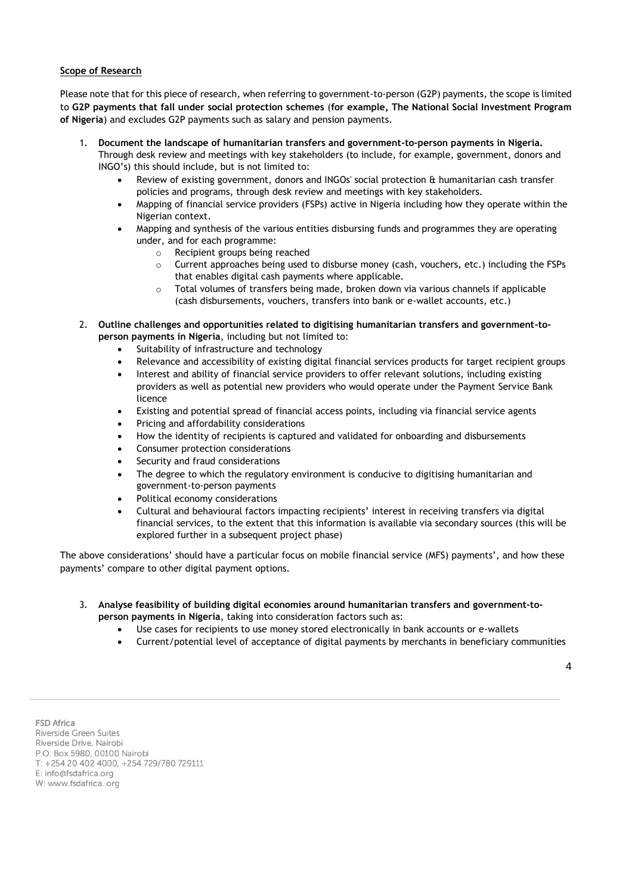# **Scope of Research**

Please note that for this piece of research, when referring to government-to-person (G2P) payments, the scope is limited to **G2P payments that fall under social protection schemes** (**for example, The National Social Investment Program of Nigeria**) and excludes G2P payments such as salary and pension payments.

- 1. **Document the landscape of humanitarian transfers and government-to-person payments in Nigeria.**
	- Through desk review and meetings with key stakeholders (to include, for example, government, donors and INGO's) this should include, but is not limited to:
		- Review of existing government, donors and INGOs' social protection & humanitarian cash transfer policies and programs, through desk review and meetings with key stakeholders.
		- Mapping of financial service providers (FSPs) active in Nigeria including how they operate within the Nigerian context.
		- Mapping and synthesis of the various entities disbursing funds and programmes they are operating under, and for each programme:
			- o Recipient groups being reached
			- $\circ$  Current approaches being used to disburse money (cash, vouchers, etc.) including the FSPs that enables digital cash payments where applicable.
			- $\circ$  Total volumes of transfers being made, broken down via various channels if applicable (cash disbursements, vouchers, transfers into bank or e-wallet accounts, etc.)
- 2. **Outline challenges and opportunities related to digitising humanitarian transfers and government-toperson payments in Nigeria**, including but not limited to:
	- Suitability of infrastructure and technology
	- Relevance and accessibility of existing digital financial services products for target recipient groups
	- Interest and ability of financial service providers to offer relevant solutions, including existing providers as well as potential new providers who would operate under the Payment Service Bank licence
	- Existing and potential spread of financial access points, including via financial service agents
	- Pricing and affordability considerations
	- How the identity of recipients is captured and validated for onboarding and disbursements
	- Consumer protection considerations
	- Security and fraud considerations
	- The degree to which the regulatory environment is conducive to digitising humanitarian and government-to-person payments
	- Political economy considerations
	- Cultural and behavioural factors impacting recipients' interest in receiving transfers via digital financial services, to the extent that this information is available via secondary sources (this will be explored further in a subsequent project phase)

The above considerations' should have a particular focus on mobile financial service (MFS) payments', and how these payments' compare to other digital payment options.

- 3. **Analyse feasibility of building digital economies around humanitarian transfers and government-toperson payments in Nigeria**, taking into consideration factors such as:
	- Use cases for recipients to use money stored electronically in bank accounts or e-wallets
	- Current/potential level of acceptance of digital payments by merchants in beneficiary communities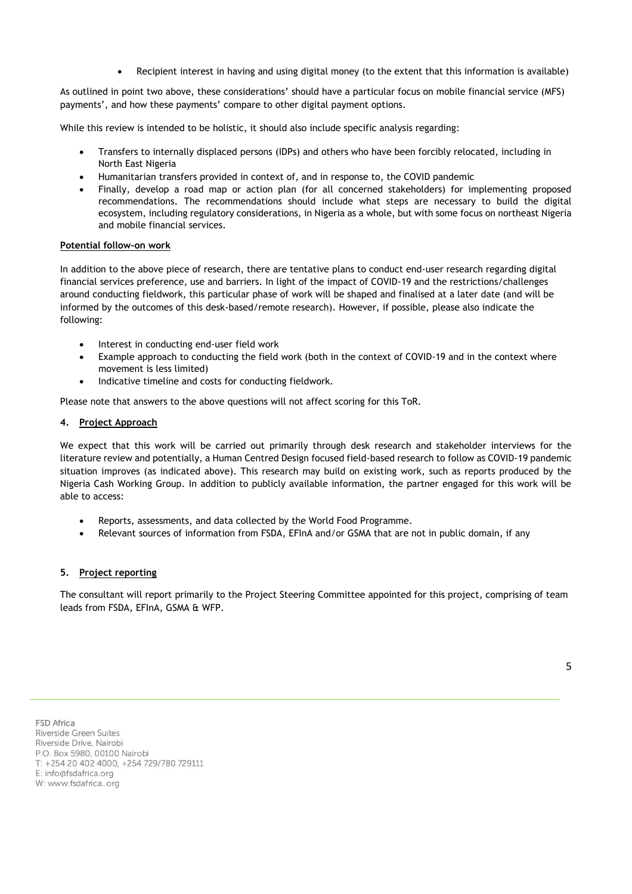• Recipient interest in having and using digital money (to the extent that this information is available)

As outlined in point two above, these considerations' should have a particular focus on mobile financial service (MFS) payments', and how these payments' compare to other digital payment options.

While this review is intended to be holistic, it should also include specific analysis regarding:

- Transfers to internally displaced persons (IDPs) and others who have been forcibly relocated, including in North East Nigeria
- Humanitarian transfers provided in context of, and in response to, the COVID pandemic
- Finally, develop a road map or action plan (for all concerned stakeholders) for implementing proposed recommendations. The recommendations should include what steps are necessary to build the digital ecosystem, including regulatory considerations, in Nigeria as a whole, but with some focus on northeast Nigeria and mobile financial services.

# **Potential follow-on work**

In addition to the above piece of research, there are tentative plans to conduct end-user research regarding digital financial services preference, use and barriers. In light of the impact of COVID-19 and the restrictions/challenges around conducting fieldwork, this particular phase of work will be shaped and finalised at a later date (and will be informed by the outcomes of this desk-based/remote research). However, if possible, please also indicate the following:

- Interest in conducting end-user field work
- Example approach to conducting the field work (both in the context of COVID-19 and in the context where movement is less limited)
- Indicative timeline and costs for conducting fieldwork.

Please note that answers to the above questions will not affect scoring for this ToR.

# **4. Project Approach**

We expect that this work will be carried out primarily through desk research and stakeholder interviews for the literature review and potentially, a Human Centred Design focused field-based research to follow as COVID-19 pandemic situation improves (as indicated above). This research may build on existing work, such as reports produced by the Nigeria Cash Working Group. In addition to publicly available information, the partner engaged for this work will be able to access:

- Reports, assessments, and data collected by the World Food Programme.
- Relevant sources of information from FSDA, EFInA and/or GSMA that are not in public domain, if any

# **5. Project reporting**

The consultant will report primarily to the Project Steering Committee appointed for this project, comprising of team leads from FSDA, EFInA, GSMA & WFP.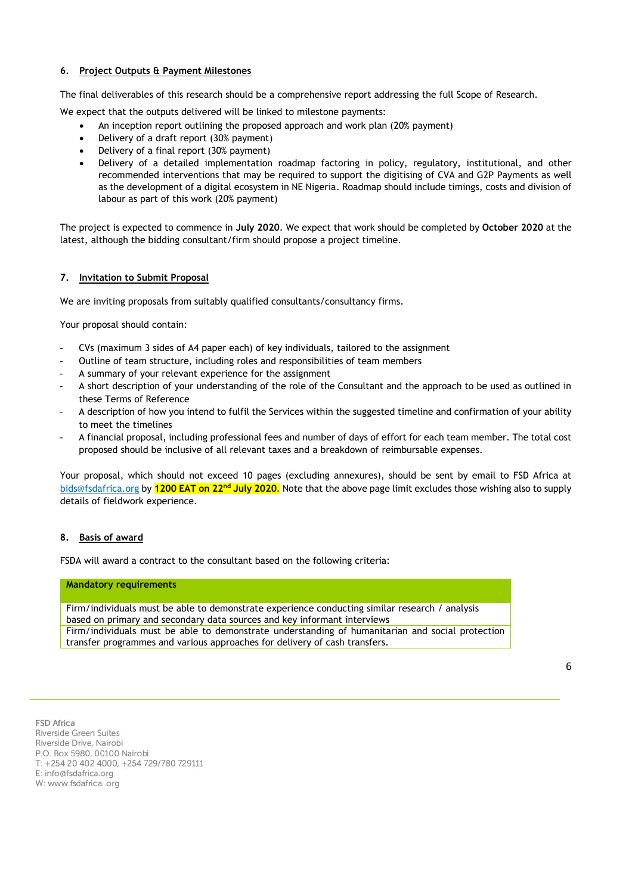# **6. Project Outputs & Payment Milestones**

The final deliverables of this research should be a comprehensive report addressing the full Scope of Research.

We expect that the outputs delivered will be linked to milestone payments:

- An inception report outlining the proposed approach and work plan (20% payment)
- Delivery of a draft report (30% payment)
- Delivery of a final report (30% payment)
- Delivery of a detailed implementation roadmap factoring in policy, regulatory, institutional, and other recommended interventions that may be required to support the digitising of CVA and G2P Payments as well as the development of a digital ecosystem in NE Nigeria. Roadmap should include timings, costs and division of labour as part of this work (20% payment)

The project is expected to commence in **July 2020**. We expect that work should be completed by **October 2020** at the latest, although the bidding consultant/firm should propose a project timeline.

# **7. Invitation to Submit Proposal**

We are inviting proposals from suitably qualified consultants/consultancy firms.

Your proposal should contain:

- CVs (maximum 3 sides of A4 paper each) of key individuals, tailored to the assignment
- Outline of team structure, including roles and responsibilities of team members
- A summary of your relevant experience for the assignment
- A short description of your understanding of the role of the Consultant and the approach to be used as outlined in these Terms of Reference
- A description of how you intend to fulfil the Services within the suggested timeline and confirmation of your ability to meet the timelines
- A financial proposal, including professional fees and number of days of effort for each team member. The total cost proposed should be inclusive of all relevant taxes and a breakdown of reimbursable expenses.

Your proposal, which should not exceed 10 pages (excluding annexures), should be sent by email to FSD Africa at [bids@fsdafrica.org](mailto:bids@fsdafrica.org) by **1200 EAT on 22nd July 2020**. Note that the above page limit excludes those wishing also to supply details of fieldwork experience.

#### **8. Basis of award**

FSDA will award a contract to the consultant based on the following criteria:

#### **Mandatory requirements**

Firm/individuals must be able to demonstrate experience conducting similar research / analysis based on primary and secondary data sources and key informant interviews Firm/individuals must be able to demonstrate understanding of humanitarian and social protection transfer programmes and various approaches for delivery of cash transfers.